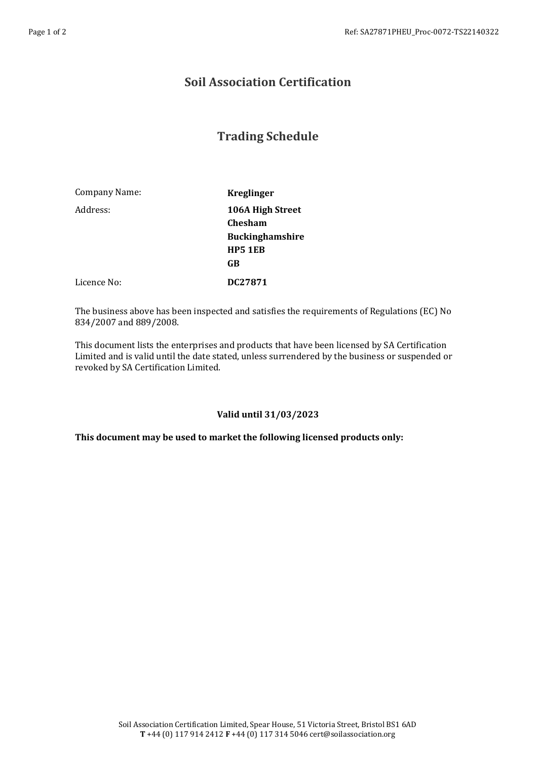## **Soil Association Certification**

# **Trading Schedule**

| Company Name: | <b>Kreglinger</b>                                                                    |
|---------------|--------------------------------------------------------------------------------------|
| Address:      | 106A High Street<br><b>Chesham</b><br><b>Buckinghamshire</b><br><b>HP5 1EB</b><br>GB |
| Licence No:   | DC27871                                                                              |

The business above has been inspected and satisfies the requirements of Regulations (EC) No 834/2007 and 889/2008.

This document lists the enterprises and products that have been licensed by SA Certification Limited and is valid until the date stated, unless surrendered by the business or suspended or revoked by SA Certification Limited.

### **Valid until 31/03/2023**

**This document may be used to market the following licensed products only:**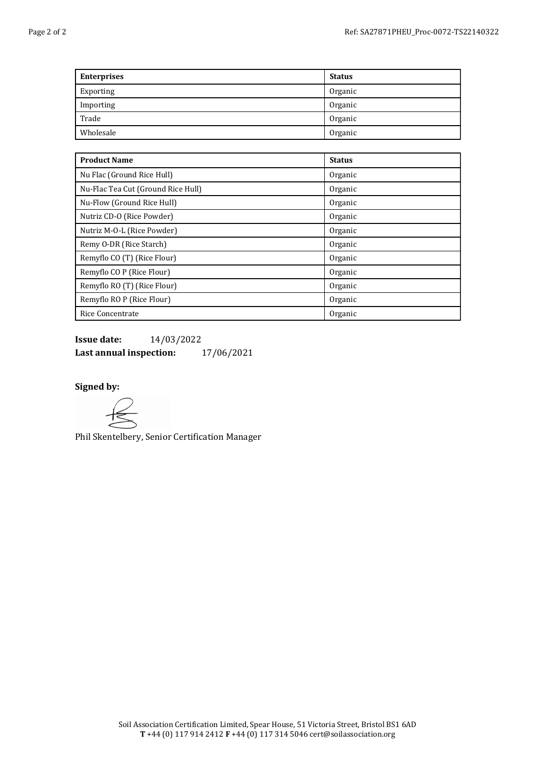| <b>Enterprises</b> | <b>Status</b> |
|--------------------|---------------|
| Exporting          | Organic       |
| Importing          | Organic       |
| Trade              | Organic       |
| Wholesale          | Organic       |

| <b>Product Name</b>                | <b>Status</b> |
|------------------------------------|---------------|
| Nu Flac (Ground Rice Hull)         | Organic       |
| Nu-Flac Tea Cut (Ground Rice Hull) | Organic       |
| Nu-Flow (Ground Rice Hull)         | Organic       |
| Nutriz CD-O (Rice Powder)          | Organic       |
| Nutriz M-O-L (Rice Powder)         | Organic       |
| Remy O-DR (Rice Starch)            | Organic       |
| Remyflo CO (T) (Rice Flour)        | Organic       |
| Remyflo CO P (Rice Flour)          | Organic       |
| Remyflo RO (T) (Rice Flour)        | Organic       |
| Remyflo RO P (Rice Flour)          | Organic       |
| Rice Concentrate                   | Organic       |

**Issue date:** 14/03/2022 **Last annual inspection:** 17/06/2021

### **Signed by:**

Phil Skentelbery, Senior Certification Manager